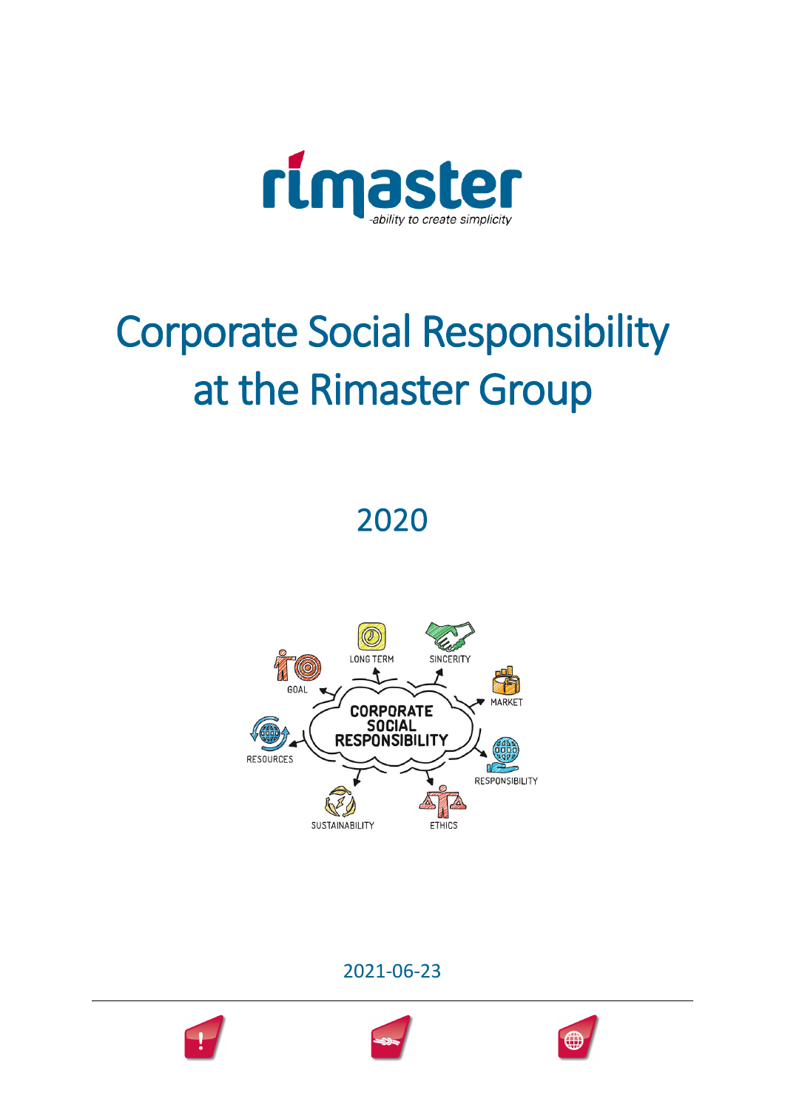

# Corporate Social Responsibility at the Rimaster Group

2020



2021-06-23

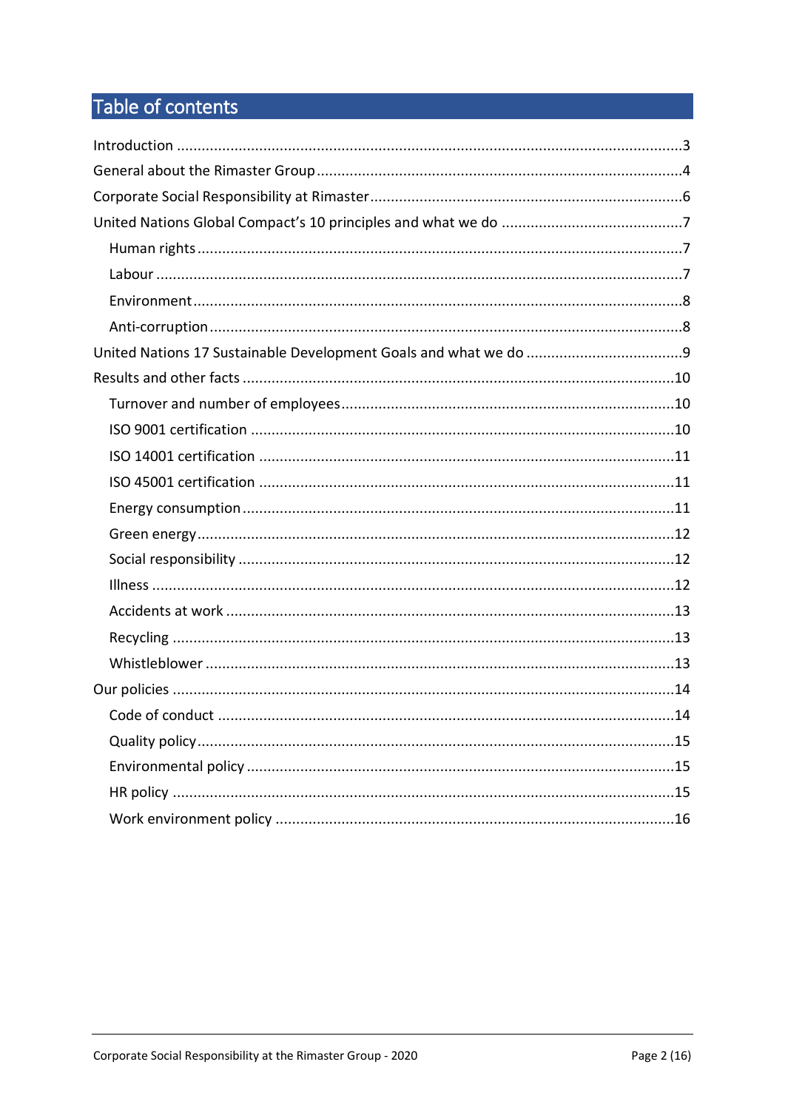# Table of contents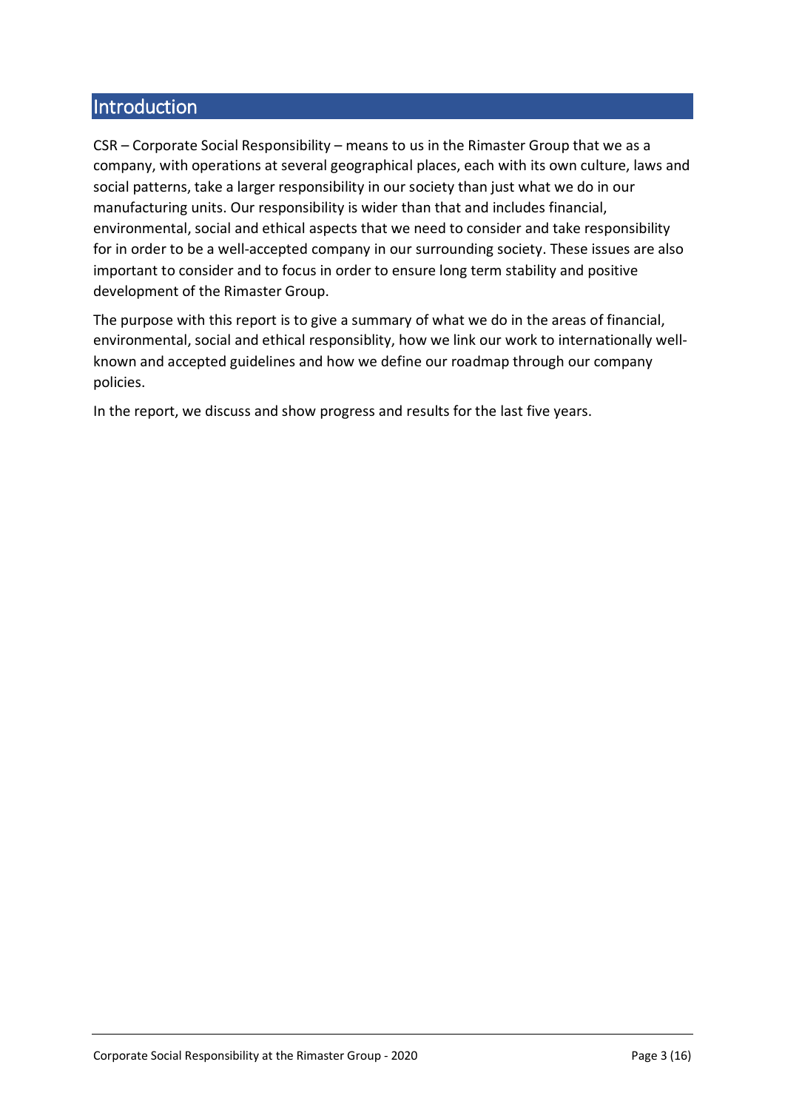# **Introduction**

CSR – Corporate Social Responsibility – means to us in the Rimaster Group that we as a company, with operations at several geographical places, each with its own culture, laws and social patterns, take a larger responsibility in our society than just what we do in our manufacturing units. Our responsibility is wider than that and includes financial, environmental, social and ethical aspects that we need to consider and take responsibility for in order to be a well-accepted company in our surrounding society. These issues are also important to consider and to focus in order to ensure long term stability and positive development of the Rimaster Group.

The purpose with this report is to give a summary of what we do in the areas of financial, environmental, social and ethical responsiblity, how we link our work to internationally wellknown and accepted guidelines and how we define our roadmap through our company policies.

In the report, we discuss and show progress and results for the last five years.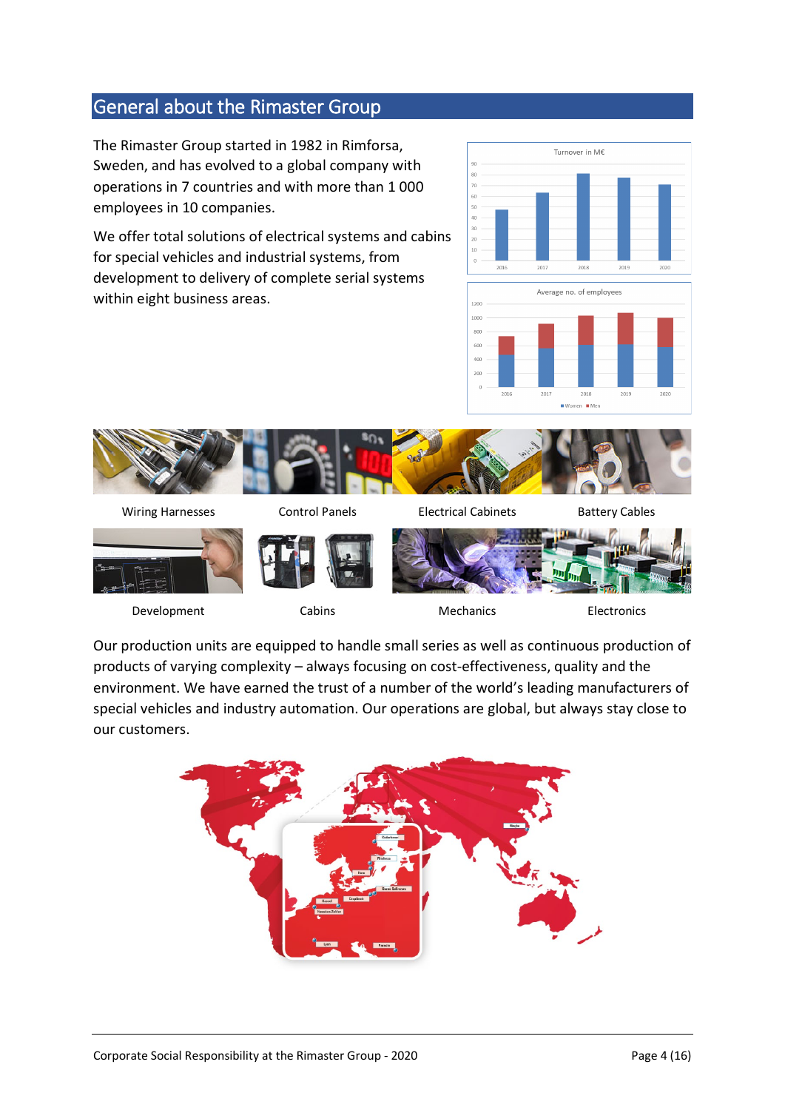# General about the Rimaster Group

The Rimaster Group started in 1982 in Rimforsa, Sweden, and has evolved to a global company with operations in 7 countries and with more than 1 000 employees in 10 companies.

We offer total solutions of electrical systems and cabins for special vehicles and industrial systems, from development to delivery of complete serial systems within eight business areas.









Development Cabins Cabins Mechanics Electronics





Our production units are equipped to handle small series as well as continuous production of products of varying complexity – always focusing on cost-effectiveness, quality and the environment. We have earned the trust of a number of the world's leading manufacturers of special vehicles and industry automation. Our operations are global, but always stay close to our customers.

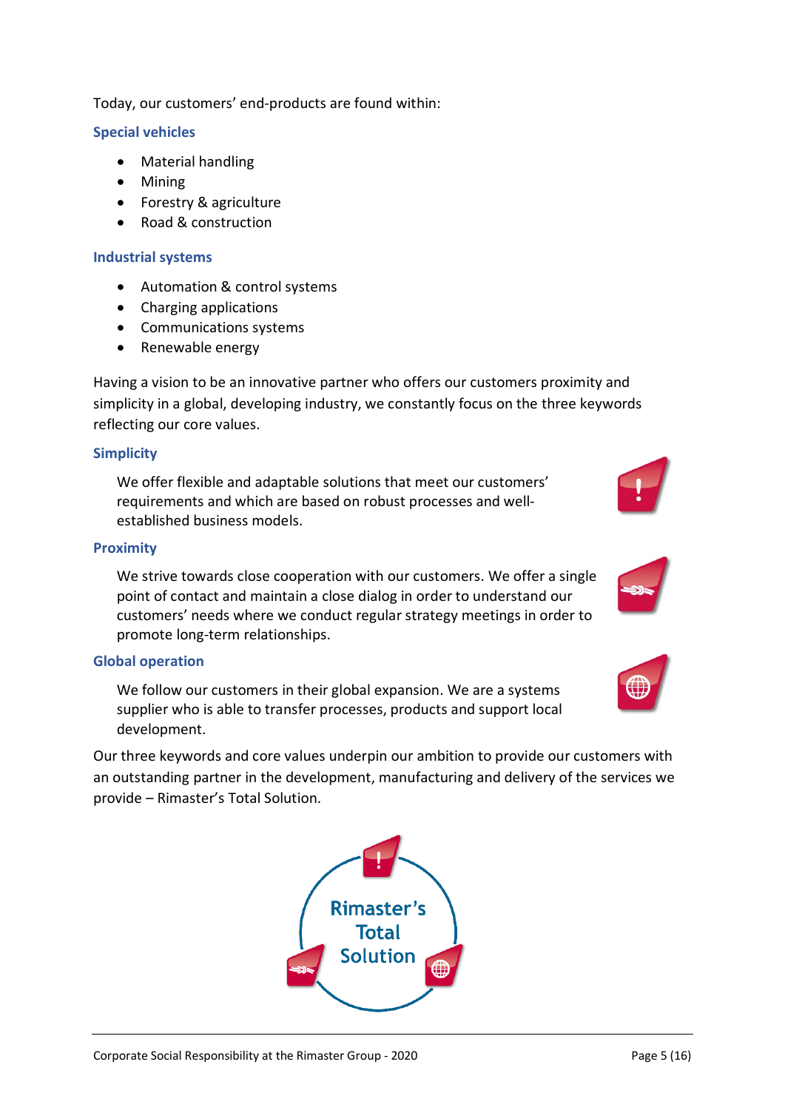Today, our customers' end-products are found within:

#### **Special vehicles**

- Material handling
- Mining
- Forestry & agriculture
- Road & construction

#### **Industrial systems**

- Automation & control systems
- Charging applications
- Communications systems
- Renewable energy

Having a vision to be an innovative partner who offers our customers proximity and simplicity in a global, developing industry, we constantly focus on the three keywords reflecting our core values.

#### **Simplicity**

We offer flexible and adaptable solutions that meet our customers' requirements and which are based on robust processes and wellestablished business models.

#### **Proximity**

We strive towards close cooperation with our customers. We offer a single point of contact and maintain a close dialog in order to understand our customers' needs where we conduct regular strategy meetings in order to promote long-term relationships.

#### **Global operation**

We follow our customers in their global expansion. We are a systems supplier who is able to transfer processes, products and support local development.

Our three keywords and core values underpin our ambition to provide our customers with an outstanding partner in the development, manufacturing and delivery of the services we provide – Rimaster's Total Solution.





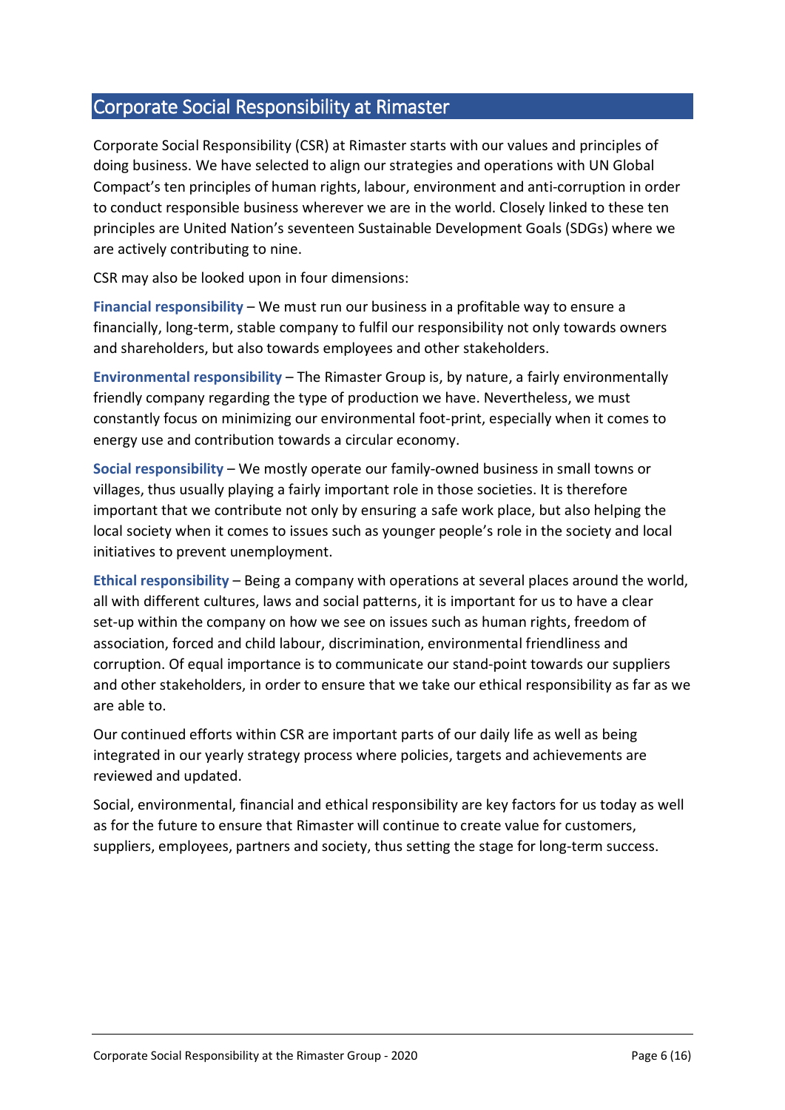# Corporate Social Responsibility at Rimaster

Corporate Social Responsibility (CSR) at Rimaster starts with our values and principles of doing business. We have selected to align our strategies and operations with UN Global Compact's ten principles of human rights, labour, environment and anti-corruption in order to conduct responsible business wherever we are in the world. Closely linked to these ten principles are United Nation's seventeen Sustainable Development Goals (SDGs) where we are actively contributing to nine.

CSR may also be looked upon in four dimensions:

**Financial responsibility** – We must run our business in a profitable way to ensure a financially, long-term, stable company to fulfil our responsibility not only towards owners and shareholders, but also towards employees and other stakeholders.

**Environmental responsibility** – The Rimaster Group is, by nature, a fairly environmentally friendly company regarding the type of production we have. Nevertheless, we must constantly focus on minimizing our environmental foot-print, especially when it comes to energy use and contribution towards a circular economy.

**Social responsibility** – We mostly operate our family-owned business in small towns or villages, thus usually playing a fairly important role in those societies. It is therefore important that we contribute not only by ensuring a safe work place, but also helping the local society when it comes to issues such as younger people's role in the society and local initiatives to prevent unemployment.

**Ethical responsibility** – Being a company with operations at several places around the world, all with different cultures, laws and social patterns, it is important for us to have a clear set-up within the company on how we see on issues such as human rights, freedom of association, forced and child labour, discrimination, environmental friendliness and corruption. Of equal importance is to communicate our stand-point towards our suppliers and other stakeholders, in order to ensure that we take our ethical responsibility as far as we are able to.

Our continued efforts within CSR are important parts of our daily life as well as being integrated in our yearly strategy process where policies, targets and achievements are reviewed and updated.

Social, environmental, financial and ethical responsibility are key factors for us today as well as for the future to ensure that Rimaster will continue to create value for customers, suppliers, employees, partners and society, thus setting the stage for long-term success.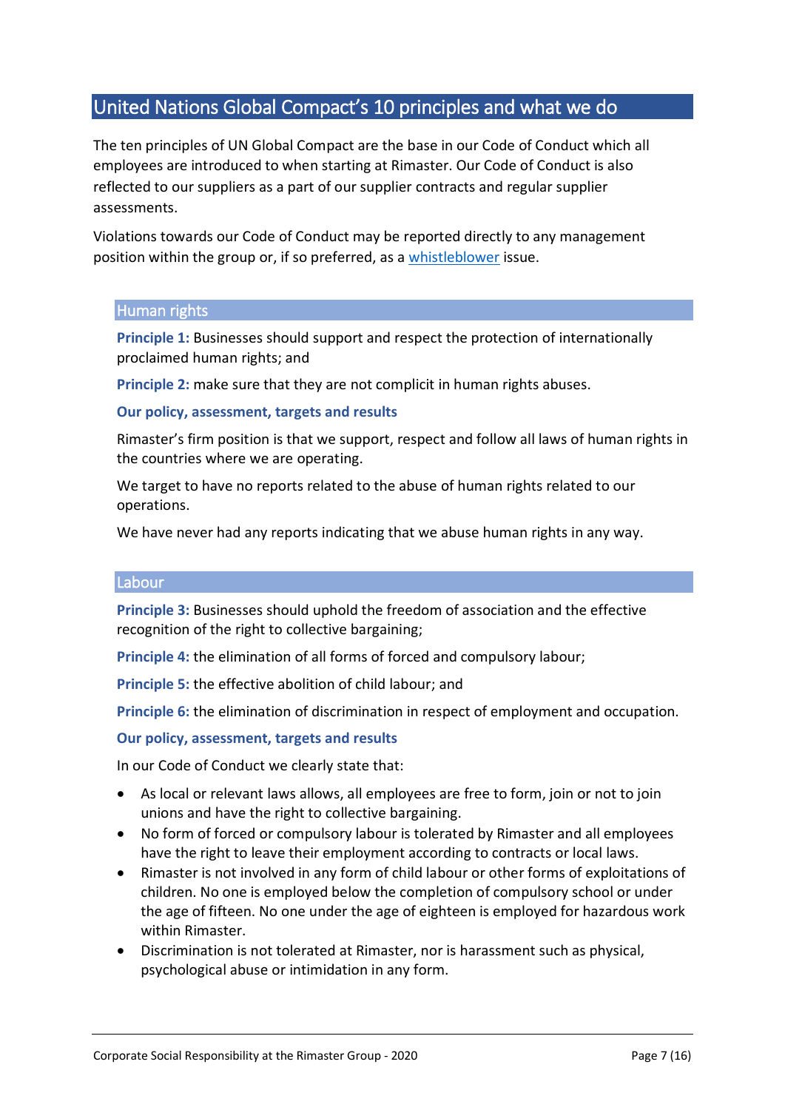# United Nations Global Compact's 10 principles and what we do

The ten principles of UN Global Compact are the base in our Code of Conduct which all employees are introduced to when starting at Rimaster. Our Code of Conduct is also reflected to our suppliers as a part of our supplier contracts and regular supplier assessments.

Violations towards our Code of Conduct may be reported directly to any management position within the group or, if so preferred, as a [whistleblower](http://media.rimaster.se/2016/11/Whistleblowing.pdf) issue.

#### Human rights

**Principle 1:** Businesses should support and respect the protection of internationally proclaimed human rights; and

**Principle 2:** make sure that they are not complicit in human rights abuses.

#### **Our policy, assessment, targets and results**

Rimaster's firm position is that we support, respect and follow all laws of human rights in the countries where we are operating.

We target to have no reports related to the abuse of human rights related to our operations.

We have never had any reports indicating that we abuse human rights in any way.

#### **Labour**

**Principle 3:** Businesses should uphold the freedom of association and the effective recognition of the right to collective bargaining;

**Principle 4:** the elimination of all forms of forced and compulsory labour;

**Principle 5:** the effective abolition of child labour; and

**Principle 6:** the elimination of discrimination in respect of employment and occupation.

#### **Our policy, assessment, targets and results**

In our Code of Conduct we clearly state that:

- As local or relevant laws allows, all employees are free to form, join or not to join unions and have the right to collective bargaining.
- No form of forced or compulsory labour is tolerated by Rimaster and all employees have the right to leave their employment according to contracts or local laws.
- Rimaster is not involved in any form of child labour or other forms of exploitations of children. No one is employed below the completion of compulsory school or under the age of fifteen. No one under the age of eighteen is employed for hazardous work within Rimaster.
- Discrimination is not tolerated at Rimaster, nor is harassment such as physical, psychological abuse or intimidation in any form.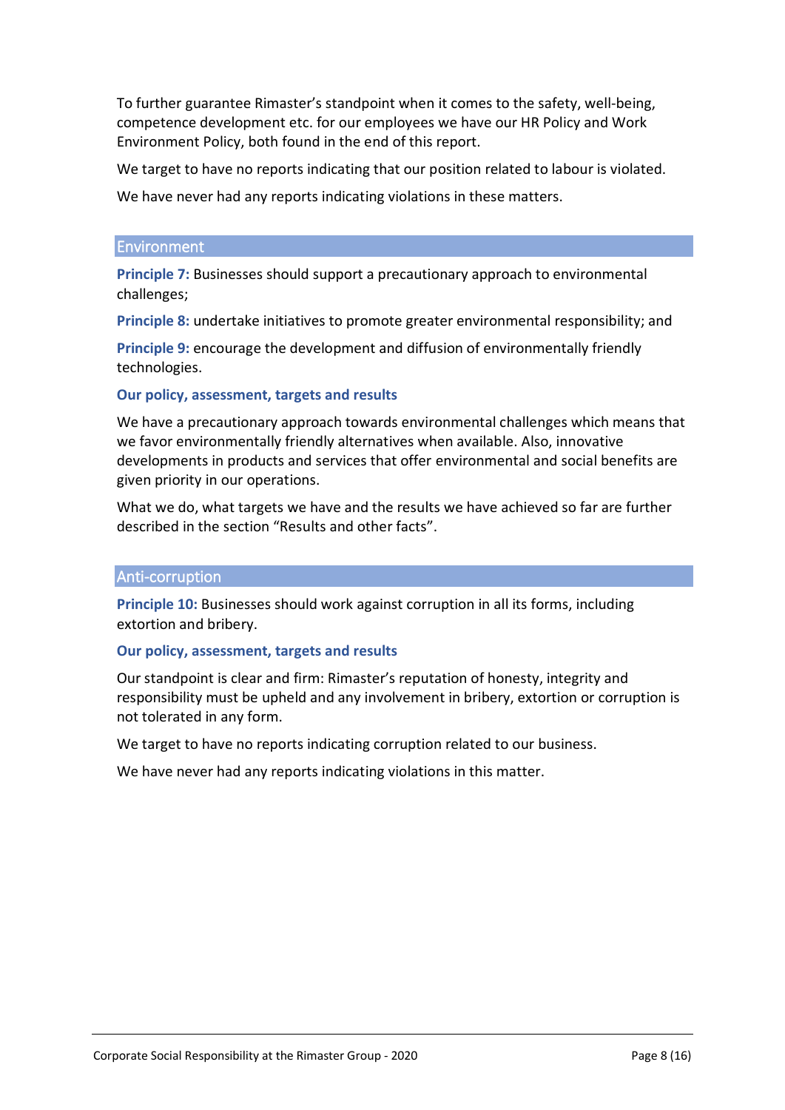To further guarantee Rimaster's standpoint when it comes to the safety, well-being, competence development etc. for our employees we have our HR Policy and Work Environment Policy, both found in the end of this report.

We target to have no reports indicating that our position related to labour is violated.

We have never had any reports indicating violations in these matters.

#### **Environment**

**Principle 7:** Businesses should support a precautionary approach to environmental challenges;

**Principle 8:** undertake initiatives to promote greater environmental responsibility; and

**Principle 9:** encourage the development and diffusion of environmentally friendly technologies.

#### **Our policy, assessment, targets and results**

We have a precautionary approach towards environmental challenges which means that we favor environmentally friendly alternatives when available. Also, innovative developments in products and services that offer environmental and social benefits are given priority in our operations.

What we do, what targets we have and the results we have achieved so far are further described in the section "Results and other facts".

#### Anti-corruption

**Principle 10:** Businesses should work against corruption in all its forms, including extortion and bribery.

#### **Our policy, assessment, targets and results**

Our standpoint is clear and firm: Rimaster's reputation of honesty, integrity and responsibility must be upheld and any involvement in bribery, extortion or corruption is not tolerated in any form.

We target to have no reports indicating corruption related to our business.

We have never had any reports indicating violations in this matter.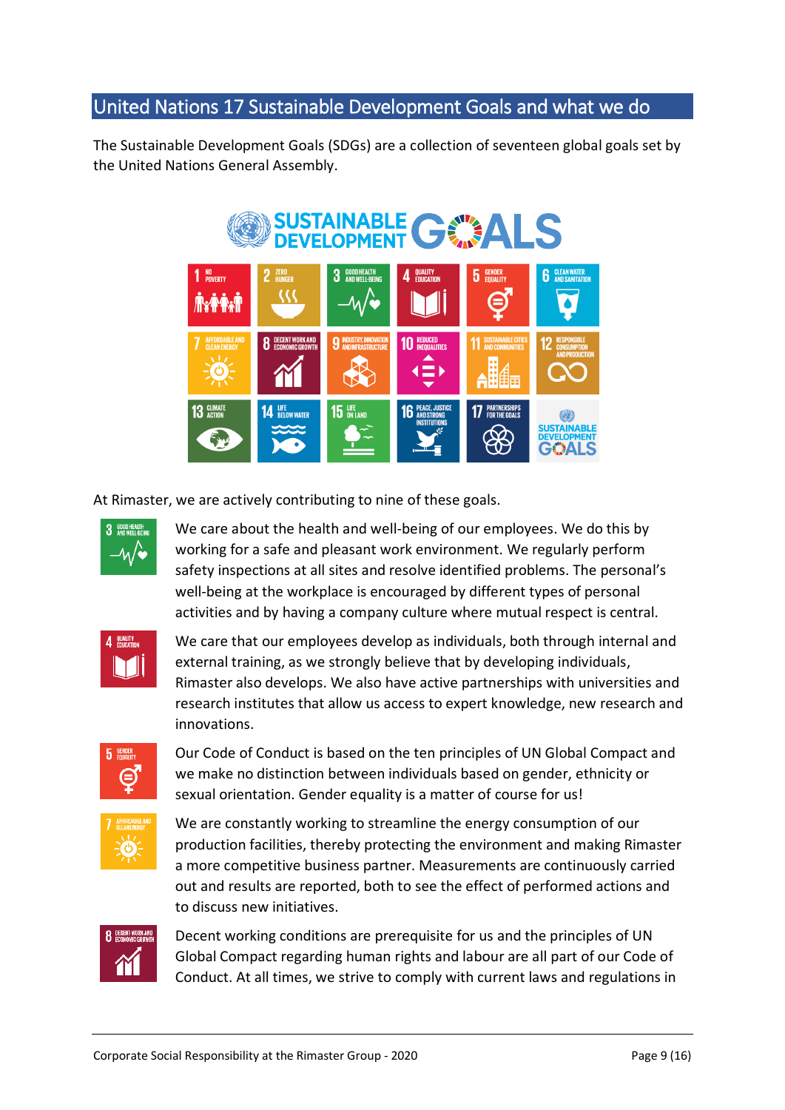# United Nations 17 Sustainable Development Goals and what we do

The Sustainable Development Goals (SDGs) are a collection of seventeen global goals set by the United Nations General Assembly.



At Rimaster, we are actively contributing to nine of these goals.



We care about the health and well-being of our employees. We do this by working for a safe and pleasant work environment. We regularly perform safety inspections at all sites and resolve identified problems. The personal's well-being at the workplace is encouraged by different types of personal activities and by having a company culture where mutual respect is central.



We care that our employees develop as individuals, both through internal and external training, as we strongly believe that by developing individuals, Rimaster also develops. We also have active partnerships with universities and research institutes that allow us access to expert knowledge, new research and innovations.



Our Code of Conduct is based on the ten principles of UN Global Compact and we make no distinction between individuals based on gender, ethnicity or sexual orientation. Gender equality is a matter of course for us!



We are constantly working to streamline the energy consumption of our production facilities, thereby protecting the environment and making Rimaster a more competitive business partner. Measurements are continuously carried out and results are reported, both to see the effect of performed actions and to discuss new initiatives.



Decent working conditions are prerequisite for us and the principles of UN Global Compact regarding human rights and labour are all part of our Code of Conduct. At all times, we strive to comply with current laws and regulations in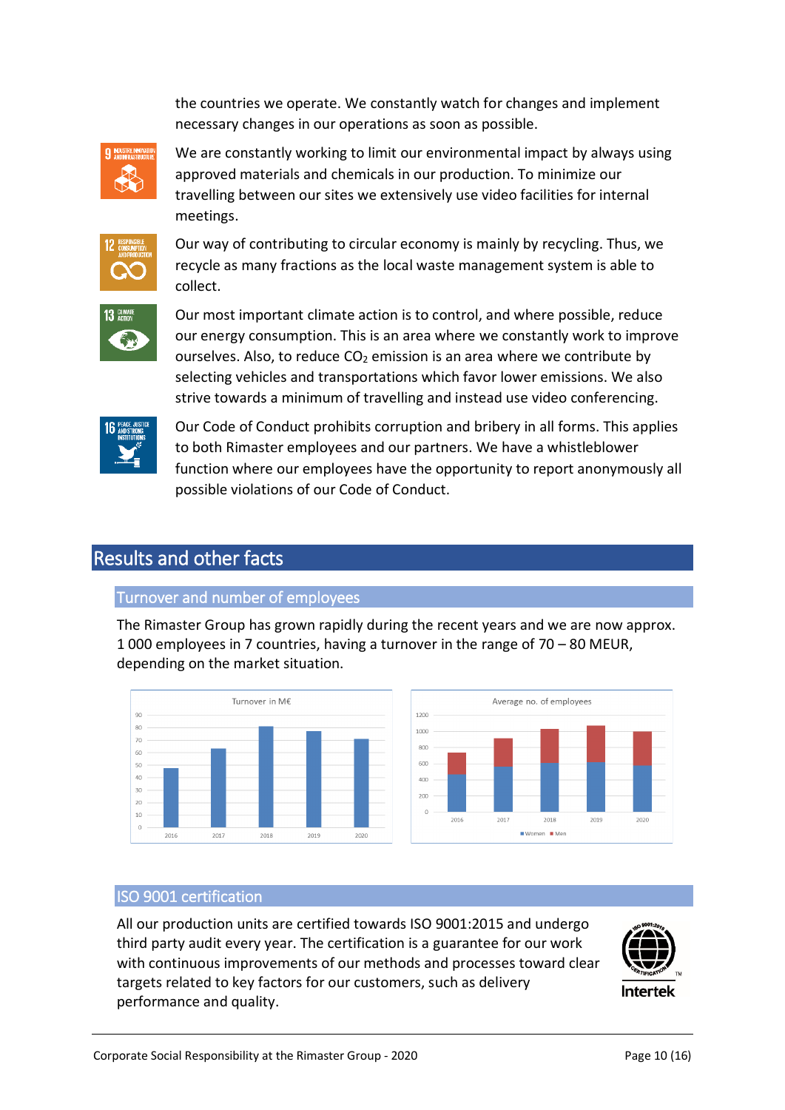the countries we operate. We constantly watch for changes and implement necessary changes in our operations as soon as possible.



We are constantly working to limit our environmental impact by always using approved materials and chemicals in our production. To minimize our travelling between our sites we extensively use video facilities for internal meetings.



Our way of contributing to circular economy is mainly by recycling. Thus, we recycle as many fractions as the local waste management system is able to collect.



Our most important climate action is to control, and where possible, reduce our energy consumption. This is an area where we constantly work to improve ourselves. Also, to reduce  $CO<sub>2</sub>$  emission is an area where we contribute by selecting vehicles and transportations which favor lower emissions. We also strive towards a minimum of travelling and instead use video conferencing.



Our Code of Conduct prohibits corruption and bribery in all forms. This applies to both Rimaster employees and our partners. We have a whistleblower function where our employees have the opportunity to report anonymously all possible violations of our Code of Conduct.

# Results and other facts

#### Turnover and number of employees

The Rimaster Group has grown rapidly during the recent years and we are now approx. 1 000 employees in 7 countries, having a turnover in the range of 70 – 80 MEUR, depending on the market situation.





#### ISO 9001 certification

All our production units are certified towards ISO 9001:2015 and undergo third party audit every year. The certification is a guarantee for our work with continuous improvements of our methods and processes toward clear targets related to key factors for our customers, such as delivery performance and quality.

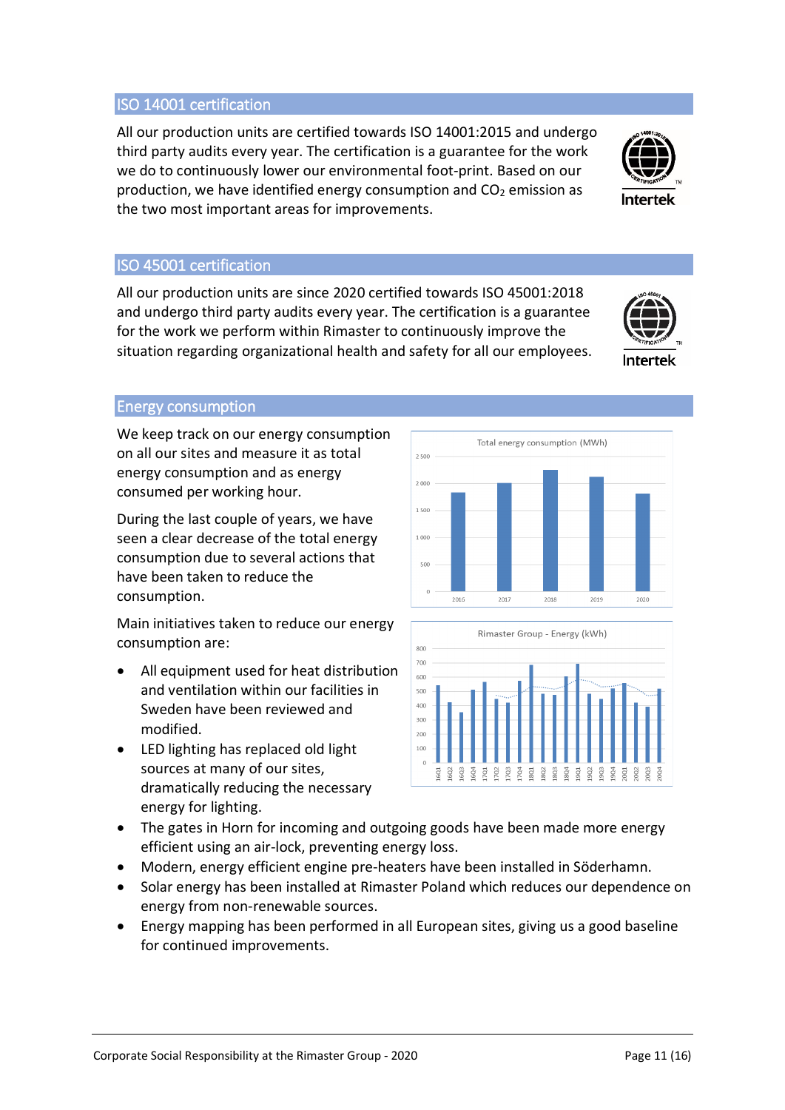Corporate Social Responsibility at the Rimaster Group - 2020 Page 11 (16)

### ISO 14001 certification

All our production units are certified towards ISO 14001:2015 and undergo third party audits every year. The certification is a guarantee for the work we do to continuously lower our environmental foot-print. Based on our production, we have identified energy consumption and  $CO<sub>2</sub>$  emission as the two most important areas for improvements.

## ISO 45001 certification

All our production units are since 2020 certified towards ISO 45001:2018 and undergo third party audits every year. The certification is a guarantee for the work we perform within Rimaster to continuously improve the situation regarding organizational health and safety for all our employees.

#### Energy consumption

We keep track on our energy consumption on all our sites and measure it as total energy consumption and as energy consumed per working hour.

During the last couple of years, we have seen a clear decrease of the total energy consumption due to several actions that have been taken to reduce the consumption.

Main initiatives taken to reduce our energy consumption are:

- All equipment used for heat distribution and ventilation within our facilities in Sweden have been reviewed and modified.
- LED lighting has replaced old light sources at many of our sites, dramatically reducing the necessary energy for lighting.







- Modern, energy efficient engine pre-heaters have been installed in Söderhamn.
- Solar energy has been installed at Rimaster Poland which reduces our dependence on energy from non-renewable sources.
- Energy mapping has been performed in all European sites, giving us a good baseline for continued improvements.





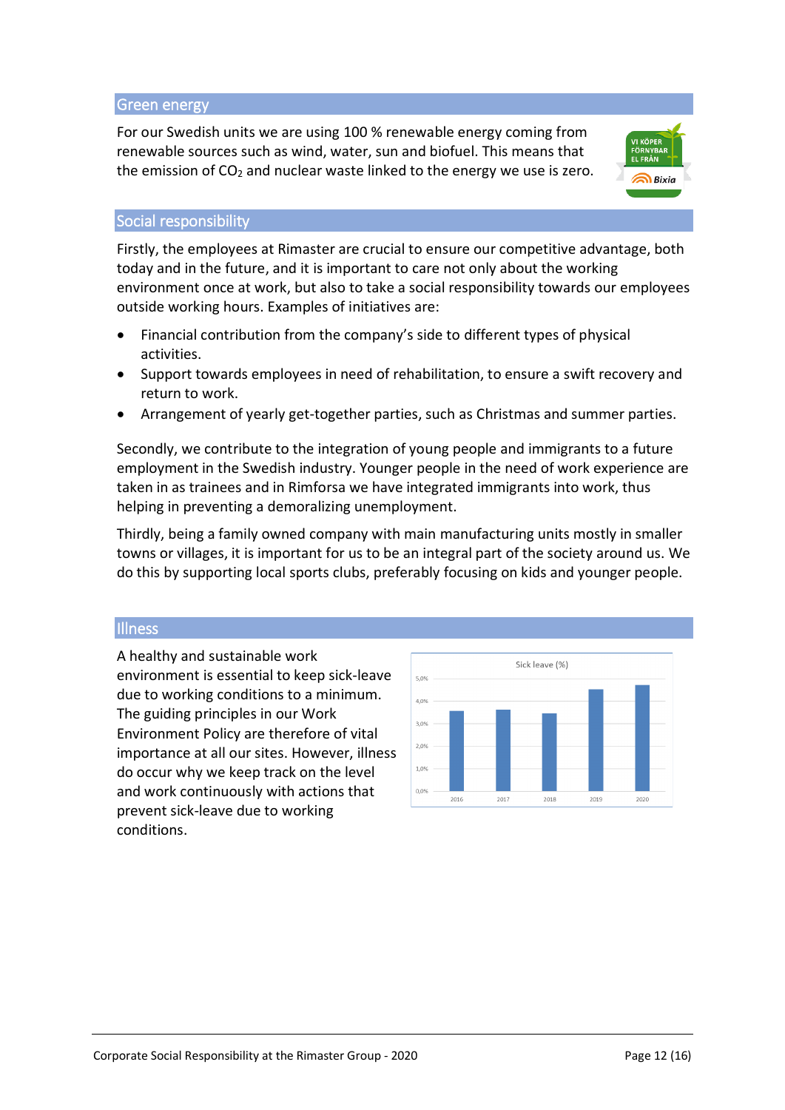#### Green energy

For our Swedish units we are using 100 % renewable energy coming from renewable sources such as wind, water, sun and biofuel. This means that the emission of  $CO<sub>2</sub>$  and nuclear waste linked to the energy we use is zero.



#### Social responsibility

Firstly, the employees at Rimaster are crucial to ensure our competitive advantage, both today and in the future, and it is important to care not only about the working environment once at work, but also to take a social responsibility towards our employees outside working hours. Examples of initiatives are:

- Financial contribution from the company's side to different types of physical activities.
- Support towards employees in need of rehabilitation, to ensure a swift recovery and return to work.
- Arrangement of yearly get-together parties, such as Christmas and summer parties.

Secondly, we contribute to the integration of young people and immigrants to a future employment in the Swedish industry. Younger people in the need of work experience are taken in as trainees and in Rimforsa we have integrated immigrants into work, thus helping in preventing a demoralizing unemployment.

Thirdly, being a family owned company with main manufacturing units mostly in smaller towns or villages, it is important for us to be an integral part of the society around us. We do this by supporting local sports clubs, preferably focusing on kids and younger people.

#### **Illness**

A healthy and sustainable work environment is essential to keep sick-leave due to working conditions to a minimum. The guiding principles in our Work Environment Policy are therefore of vital importance at all our sites. However, illness do occur why we keep track on the level and work continuously with actions that prevent sick-leave due to working conditions.

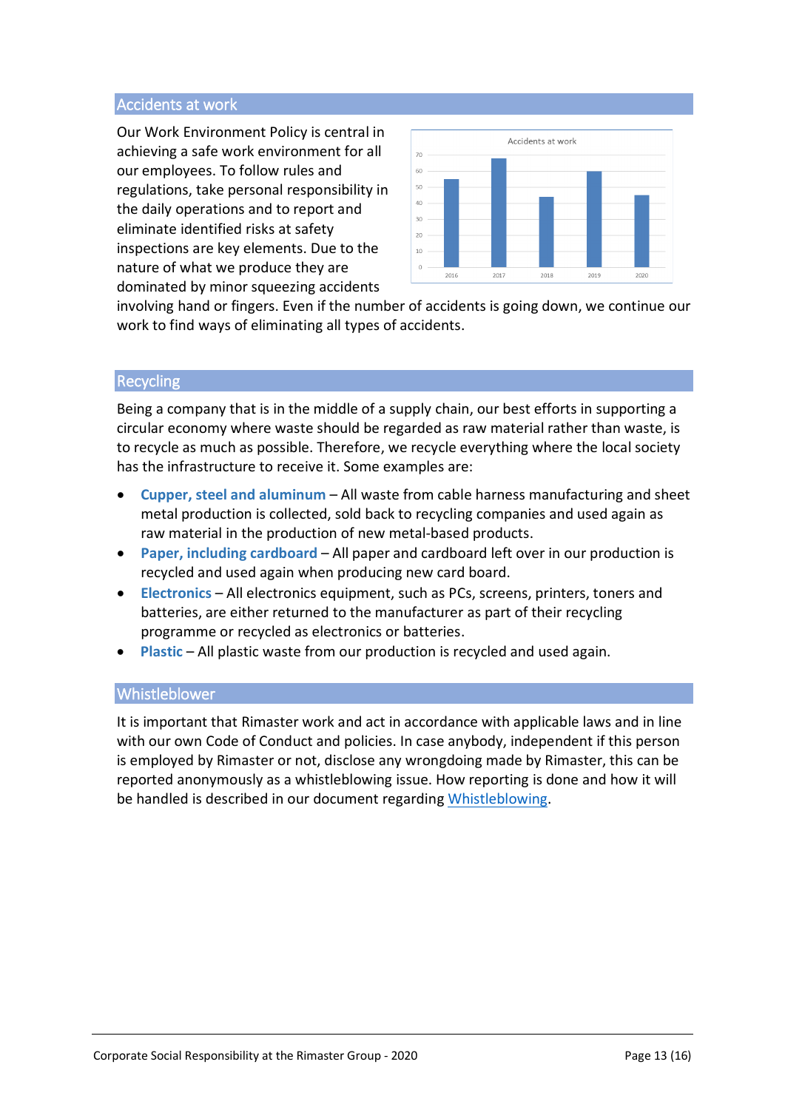#### Accidents at work

Our Work Environment Policy is central in achieving a safe work environment for all our employees. To follow rules and regulations, take personal responsibility in the daily operations and to report and eliminate identified risks at safety inspections are key elements. Due to the nature of what we produce they are dominated by minor squeezing accidents



involving hand or fingers. Even if the number of accidents is going down, we continue our work to find ways of eliminating all types of accidents.

#### **Recycling**

Being a company that is in the middle of a supply chain, our best efforts in supporting a circular economy where waste should be regarded as raw material rather than waste, is to recycle as much as possible. Therefore, we recycle everything where the local society has the infrastructure to receive it. Some examples are:

- **Cupper, steel and aluminum** All waste from cable harness manufacturing and sheet metal production is collected, sold back to recycling companies and used again as raw material in the production of new metal-based products.
- **Paper, including cardboard** All paper and cardboard left over in our production is recycled and used again when producing new card board.
- **Electronics** All electronics equipment, such as PCs, screens, printers, toners and batteries, are either returned to the manufacturer as part of their recycling programme or recycled as electronics or batteries.
- **Plastic** All plastic waste from our production is recycled and used again.

#### Whistleblower

It is important that Rimaster work and act in accordance with applicable laws and in line with our own Code of Conduct and policies. In case anybody, independent if this person is employed by Rimaster or not, disclose any wrongdoing made by Rimaster, this can be reported anonymously as a whistleblowing issue. How reporting is done and how it will be handled is described in our document regarding [Whistleblowing.](http://media.rimaster.se/2016/11/Whistleblowing.pdf)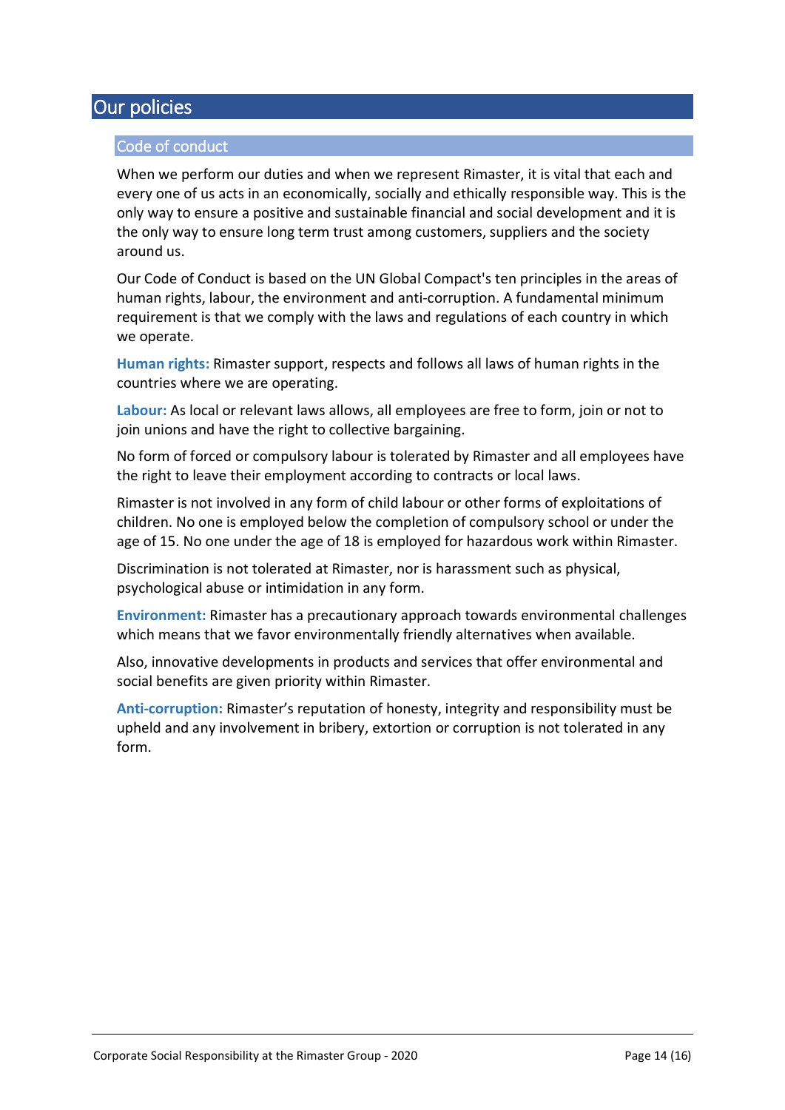# Our policies

#### Code of conduct

When we perform our duties and when we represent Rimaster, it is vital that each and every one of us acts in an economically, socially and ethically responsible way. This is the only way to ensure a positive and sustainable financial and social development and it is the only way to ensure long term trust among customers, suppliers and the society around us.

Our Code of Conduct is based on the UN Global Compact's ten principles in the areas of human rights, labour, the environment and anti-corruption. A fundamental minimum requirement is that we comply with the laws and regulations of each country in which we operate.

**Human rights:** Rimaster support, respects and follows all laws of human rights in the countries where we are operating.

**Labour:** As local or relevant laws allows, all employees are free to form, join or not to join unions and have the right to collective bargaining.

No form of forced or compulsory labour is tolerated by Rimaster and all employees have the right to leave their employment according to contracts or local laws.

Rimaster is not involved in any form of child labour or other forms of exploitations of children. No one is employed below the completion of compulsory school or under the age of 15. No one under the age of 18 is employed for hazardous work within Rimaster.

Discrimination is not tolerated at Rimaster, nor is harassment such as physical, psychological abuse or intimidation in any form.

**Environment:** Rimaster has a precautionary approach towards environmental challenges which means that we favor environmentally friendly alternatives when available.

Also, innovative developments in products and services that offer environmental and social benefits are given priority within Rimaster.

**Anti-corruption:** Rimaster's reputation of honesty, integrity and responsibility must be upheld and any involvement in bribery, extortion or corruption is not tolerated in any form.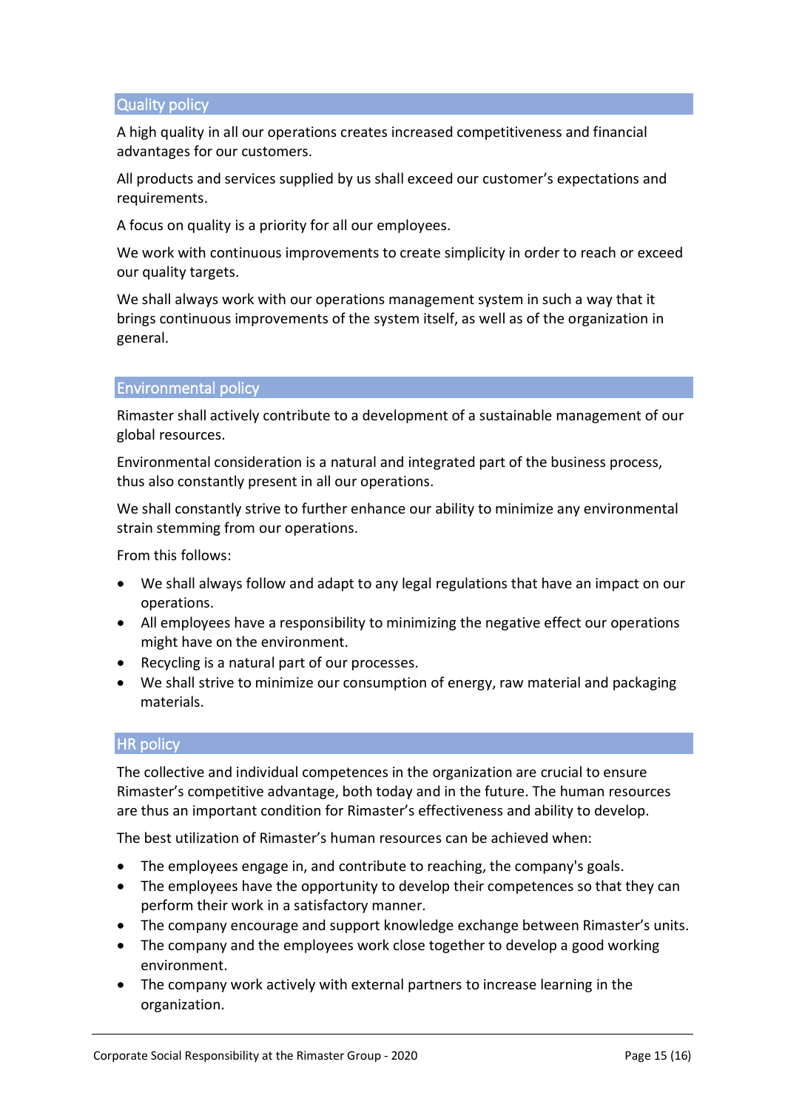#### Quality policy

A high quality in all our operations creates increased competitiveness and financial advantages for our customers.

All products and services supplied by us shall exceed our customer's expectations and requirements.

A focus on quality is a priority for all our employees.

We work with continuous improvements to create simplicity in order to reach or exceed our quality targets.

We shall always work with our operations management system in such a way that it brings continuous improvements of the system itself, as well as of the organization in general.

#### Environmental policy

Rimaster shall actively contribute to a development of a sustainable management of our global resources.

Environmental consideration is a natural and integrated part of the business process, thus also constantly present in all our operations.

We shall constantly strive to further enhance our ability to minimize any environmental strain stemming from our operations.

From this follows:

- We shall always follow and adapt to any legal regulations that have an impact on our operations.
- All employees have a responsibility to minimizing the negative effect our operations might have on the environment.
- Recycling is a natural part of our processes.
- We shall strive to minimize our consumption of energy, raw material and packaging materials.

#### **HR** policy

The collective and individual competences in the organization are crucial to ensure Rimaster's competitive advantage, both today and in the future. The human resources are thus an important condition for Rimaster's effectiveness and ability to develop.

The best utilization of Rimaster's human resources can be achieved when:

- The employees engage in, and contribute to reaching, the company's goals.
- The employees have the opportunity to develop their competences so that they can perform their work in a satisfactory manner.
- The company encourage and support knowledge exchange between Rimaster's units.
- The company and the employees work close together to develop a good working environment.
- The company work actively with external partners to increase learning in the organization.